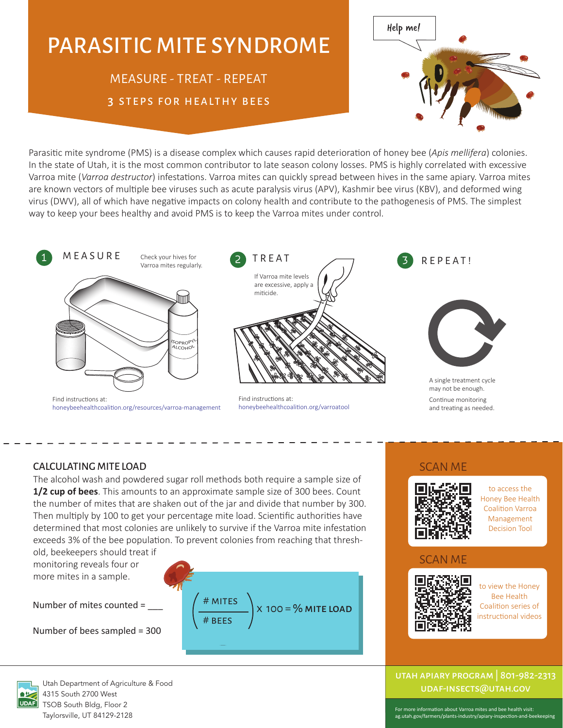# PARASITIC MITE SYNDROME

MEASURE - TREAT - REPEAT 3 STEPS FOR HEALTHY BEES



Parasitic mite syndrome (PMS) is a disease complex which causes rapid deterioration of honey bee (*Apis mellifera*) colonies. In the state of Utah, it is the most common contributor to late season colony losses. PMS is highly correlated with excessive Varroa mite (Varroa destructor) infestations. Varroa mites can quickly spread between hives in the same apiary. Varroa mites are known vectors of multiple bee viruses such as acute paralysis virus (APV), Kashmir bee virus (KBV), and deformed wing virus (DWV), all of which have negative impacts on colony health and contribute to the pathogenesis of PMS. The simplest way to keep your bees healthy and avoid PMS is to keep the Varroa mites under control.



honeybeehealthcoalition.org/resources/varroa-management

honeybeehealthcoalition.org/varroatool

### CALCULATING MITE LOAD

The alcohol wash and powdered sugar roll methods both require a sample size of **1/2 cup of bees**. This amounts to an approximate sample size of 300 bees. Count the number of mites that are shaken out of the jar and divide that number by 300. Then multiply by 100 to get your percentage mite load. Scientific authorities have determined that most colonies are unlikely to survive if the Varroa mite infestation exceeds 3% of the bee population. To prevent colonies from reaching that thresh-

old, beekeepers should treat if monitoring reveals four or more mites in a sample.

Number of mites counted =

Number of bees sampled = 300



### SCAN ME

and treating as needed.



to access the Honey Bee Health Coalition Varroa Management Decision Tool

### SCAN ME



to view the Honey Bee Health Coalition series of instructional videos

### utah apiary program | 801-982-2313 Utah Department of Agriculture & Food<br>A315 See the 3700 Merci Utah Department of Agriculture & Food



4315 South 2700 West TSOB South Bldg, Floor 2 Taylorsville, UT 84129-2128

For more information about Varroa mites and bee health visit:<br>ag.utah.gov/farmers/plants-industry/apiary-inspection-and-beekeeping